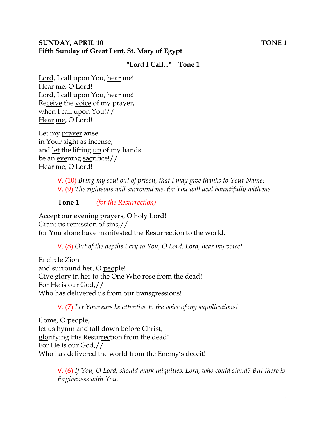### **SUNDAY, APRIL 10 TONE 1 Fifth Sunday of Great Lent, St. Mary of Egypt**

### **"Lord I Call..." Tone 1**

Lord, I call upon You, hear me! Hear me, O Lord! Lord, I call upon You, hear me! Receive the voice of my prayer, when I call upon You!// Hear me, O Lord!

Let my prayer arise in Your sight as incense, and let the lifting up of my hands be an evening sacrifice!// Hear me, O Lord!

> V. (10) *Bring my soul out of prison, that I may give thanks to Your Name!*  V. (9) *The righteous will surround me, for You will deal bountifully with me.*

**Tone 1** *(for the Resurrection)* 

Accept our evening prayers, O holy Lord! Grant us remission of sins,// for You alone have manifested the Resurrection to the world.

V. (8) *Out of the depths I cry to You, O Lord. Lord, hear my voice!* 

Encircle Zion and surround her, O people! Give glory in her to the One Who rose from the dead! For He is our God,// Who has delivered us from our transgressions!

V. (7) *Let Your ears be attentive to the voice of my supplications!*

Come, O people, let us hymn and fall down before Christ, glorifying His Resurrection from the dead! For He is our God,// Who has delivered the world from the Enemy's deceit!

> V. (6) *If You, O Lord, should mark iniquities, Lord, who could stand? But there is forgiveness with You.*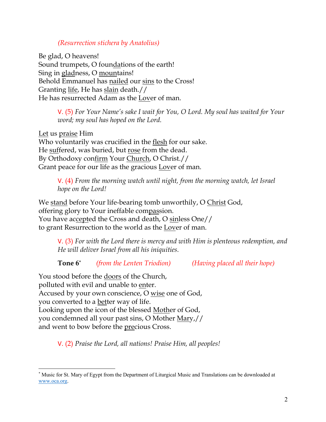### *(Resurrection stichera by Anatolius)*

Be glad, O heavens! Sound trumpets, O foundations of the earth! Sing in gladness, O mountains! Behold Emmanuel has nailed our sins to the Cross! Granting life, He has slain death.// He has resurrected Adam as the Lover of man.

> V. (5) *For Your Name's sake I wait for You, O Lord. My soul has waited for Your word; my soul has hoped on the Lord.*

Let us praise Him Who voluntarily was crucified in the flesh for our sake. He suffered, was buried, but rose from the dead. By Orthodoxy confirm Your Church, O Christ.// Grant peace for our life as the gracious Lover of man.

> V. (4) *From the morning watch until night, from the morning watch, let Israel hope on the Lord!*

We stand before Your life-bearing tomb unworthily, O Christ God, offering glory to Your ineffable compassion. You have accepted the Cross and death, O sinless One// to grant Resurrection to the world as the Lover of man.

V. (3) *For with the Lord there is mercy and with Him is plenteous redemption, and He will deliver Israel from all his iniquities.*

**Tone 6\*** *(from the Lenten Triodion) (Having placed all their hope)*

You stood before the doors of the Church, polluted with evil and unable to enter. Accused by your own conscience, O wise one of God, you converted to a better way of life. Looking upon the icon of the blessed Mother of God, you condemned all your past sins, O Mother Mary,// and went to bow before the precious Cross.

V. (2) *Praise the Lord, all nations! Praise Him, all peoples!*

<sup>\*</sup> Music for St. Mary of Egypt from the Department of Liturgical Music and Translations can be downloaded at www.oca.org.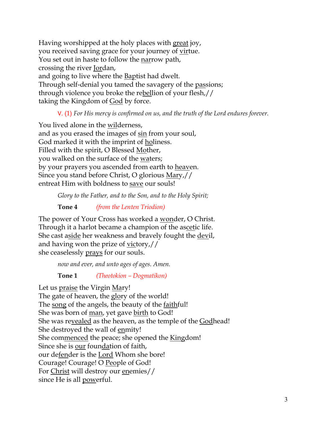Having worshipped at the holy places with great joy, you received saving grace for your journey of virtue. You set out in haste to follow the narrow path, crossing the river Jordan, and going to live where the Baptist had dwelt. Through self-denial you tamed the savagery of the passions; through violence you broke the rebellion of your flesh,// taking the Kingdom of **God** by force.

## V. (1) *For His mercy is confirmed on us, and the truth of the Lord endures forever.*

You lived alone in the wilderness, and as you erased the images of sin from your soul, God marked it with the imprint of holiness. Filled with the spirit, O Blessed Mother, you walked on the surface of the waters; by your prayers you ascended from earth to heaven. Since you stand before Christ, O glorious Mary,// entreat Him with boldness to save our souls!

*Glory to the Father, and to the Son, and to the Holy Spirit;*

**Tone 4** *(from the Lenten Triodion)*

The power of Your Cross has worked a wonder, O Christ. Through it a harlot became a champion of the ascetic life. She cast aside her weakness and bravely fought the devil, and having won the prize of victory,// she ceaselessly prays for our souls.

*now and ever, and unto ages of ages. Amen.* 

**Tone 1** *(Theotokion – Dogmatikon)*

Let us praise the Virgin Mary! The gate of heaven, the glory of the world! The song of the angels, the beauty of the <u>faithful!</u> She was born of <u>man</u>, yet gave <u>birth</u> to God! She was revealed as the heaven, as the temple of the Godhead! She destroyed the wall of enmity! She commenced the peace; she opened the Kingdom! Since she is our foundation of faith, our defender is the Lord Whom she bore! Courage! Courage! O People of God! For Christ will destroy our enemies// since He is all powerful.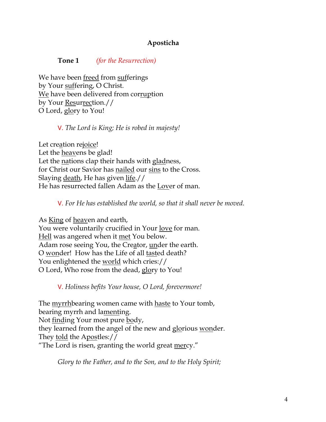## **Aposticha**

**Tone 1** *(for the Resurrection)*

We have been freed from sufferings by Your suffering, O Christ. We have been delivered from corruption by Your Resurrection.// O Lord, glory to You!

V. *The Lord is King; He is robed in majesty!* 

Let creation rejoice! Let the heavens be glad! Let the nations clap their hands with gladness, for Christ our Savior has nailed our sins to the Cross. Slaying death, He has given life.// He has resurrected fallen Adam as the Lover of man.

V. *For He has established the world, so that it shall never be moved.*

As King of heaven and earth, You were voluntarily crucified in Your love for man. Hell was angered when it met You below. Adam rose seeing You, the Creator, under the earth. O wonder! How has the Life of all tasted death? You enlightened the world which cries:// O Lord, Who rose from the dead, glory to You!

V. *Holiness befits Your house, O Lord, forevermore!* 

The myrrhbearing women came with haste to Your tomb, bearing myrrh and lamenting. Not finding Your most pure body, they learned from the angel of the new and glorious wonder. They told the Apostles:// "The Lord is risen, granting the world great mercy."

*Glory to the Father, and to the Son, and to the Holy Spirit;*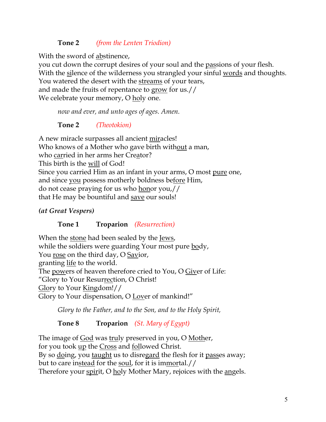# **Tone 2** *(from the Lenten Triodion)*

With the sword of abstinence,

you cut down the corrupt desires of your soul and the passions of your flesh. With the silence of the wilderness you strangled your sinful words and thoughts. You watered the desert with the streams of your tears, and made the fruits of repentance to grow for us.// We celebrate your memory, O holy one.

*now and ever, and unto ages of ages. Amen.*

**Tone 2** *(Theotokion)*

A new miracle surpasses all ancient miracles! Who knows of a Mother who gave birth without a man, who carried in her arms her Creator? This birth is the will of God! Since you carried Him as an infant in your arms, O most pure one, and since you possess motherly boldness before Him, do not cease praying for us who honor you,// that He may be bountiful and save our souls!

# *(at Great Vespers)*

**Tone 1 Troparion** *(Resurrection)*

When the stone had been sealed by the Jews, while the soldiers were guarding Your most pure body, You rose on the third day, O Savior, granting life to the world. The powers of heaven therefore cried to You, O Giver of Life: "Glory to Your Resurrection, O Christ! Glory to Your Kingdom!// Glory to Your dispensation, O Lover of mankind!"

*Glory to the Father, and to the Son, and to the Holy Spirit,*

**Tone 8 Troparion** *(St. Mary of Egypt)*

The image of God was truly preserved in you, O Mother, for you took up the Cross and followed Christ. By so doing, you taught us to disregard the flesh for it passes away; but to care instead for the soul, for it is immortal.// Therefore your spirit, O holy Mother Mary, rejoices with the angels.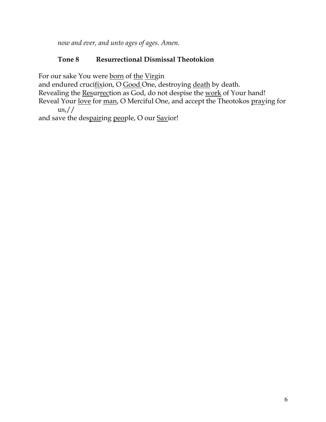*now and ever, and unto ages of ages. Amen.*

# **Tone 8 Resurrectional Dismissal Theotokion**

For our sake You were born of the Virgin

and endured crucifixion, O Good One, destroying death by death.

Revealing the Resurrection as God, do not despise the work of Your hand!

Reveal Your love for man, O Merciful One, and accept the Theotokos praying for  $\text{us}/\sqrt{ }$ 

and save the despairing people, O our Savior!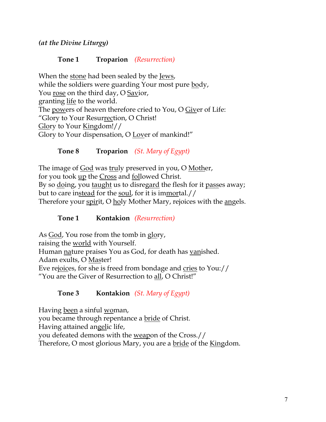*(at the Divine Liturgy)*

## **Tone 1 Troparion** *(Resurrection)*

When the stone had been sealed by the Jews, while the soldiers were guarding Your most pure body, You rose on the third day, O Savior, granting life to the world. The powers of heaven therefore cried to You, O Giver of Life: "Glory to Your Resurrection, O Christ! Glory to Your Kingdom!// Glory to Your dispensation, O Lover of mankind!"

**Tone 8 Troparion** *(St. Mary of Egypt)*

The image of **God** was truly preserved in you, O Mother, for you took up the Cross and followed Christ. By so doing, you taught us to disregard the flesh for it passes away; but to care instead for the soul, for it is immortal.// Therefore your spirit, O holy Mother Mary, rejoices with the angels.

# **Tone 1 Kontakion** *(Resurrection)*

As God, You rose from the tomb in glory, raising the world with Yourself. Human nature praises You as God, for death has vanished. Adam exults, O Master! Eve rejoices, for she is freed from bondage and cries to You:// "You are the Giver of Resurrection to all, O Christ!"

# **Tone 3 Kontakion** *(St. Mary of Egypt)*

Having been a sinful woman, you became through repentance a bride of Christ. Having attained angelic life, you defeated demons with the weapon of the Cross.// Therefore, O most glorious Mary, you are a bride of the Kingdom.